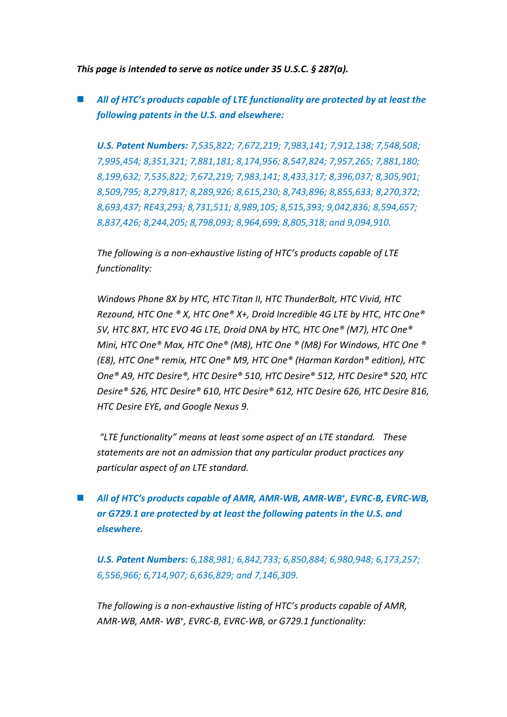*This page is intended to serve as notice under 35 U.S.C. § 287(a).*

 *All of HTC's products capable of LTE functionality are protected by at least the following patents in the U.S. and elsewhere:*

*U.S. Patent Numbers: 7,535,822; 7,672,219; 7,983,141; 7,912,138; 7,548,508; 7,995,454; 8,351,321; 7,881,181; 8,174,956; 8,547,824; 7,957,265; 7,881,180; 8,199,632; 7,535,822; 7,672,219; 7,983,141; 8,433,317; 8,396,037; 8,305,901; 8,509,795; 8,279,817; 8,289,926; 8,615,230; 8,743,896; 8,855,633; 8,270,372; 8,693,437; RE43,293; 8,731,511; 8,989,105; 8,515,393; 9,042,836; 8,594,657; 8,837,426; 8,244,205; 8,798,093; 8,964,699; 8,805,318; and 9,094,910.*

*The following is a non-exhaustive listing of HTC's products capable of LTE functionality:* 

*Windows Phone 8X by HTC, HTC Titan II, HTC ThunderBolt, HTC Vivid, HTC Rezound, HTC One ® X, HTC One® X+, Droid Incredible 4G LTE by HTC, HTC One® SV, HTC 8XT, HTC EVO 4G LTE, Droid DNA by HTC, HTC One® (M7), HTC One® Mini, HTC One® Max, HTC One® (M8), HTC One ® (M8) For Windows, HTC One ® (E8), HTC One® remix, HTC One® M9, HTC One® (Harman Kardon® edition), HTC One® A9, HTC Desire®, HTC Desire® 510, HTC Desire® 512, HTC Desire® 520, HTC Desire® 526, HTC Desire® 610, HTC Desire® 612, HTC Desire 626, HTC Desire 816, HTC Desire EYE, and Google Nexus 9.*

*"LTE functionality" means at least some aspect of an LTE standard. These statements are not an admission that any particular product practices any particular aspect of an LTE standard.*

## ■ *All of HTC*<sup>*'s products capable of AMR, AMR-WB, AMR-WB<sup>+</sup>, EVRC-B, EVRC-WB,*</sup> *or G729.1 are protected by at least the following patents in the U.S. and elsewhere.*

*U.S. Patent Numbers: 6,188,981; 6,842,733; 6,850,884; 6,980,948; 6,173,257; 6,556,966; 6,714,907; 6,636,829; and 7,146,309.*

*The following is a non-exhaustive listing of HTC's products capable of AMR, AMR-WB, AMR- WB<sup>+</sup> , EVRC-B, EVRC-WB, or G729.1 functionality:*